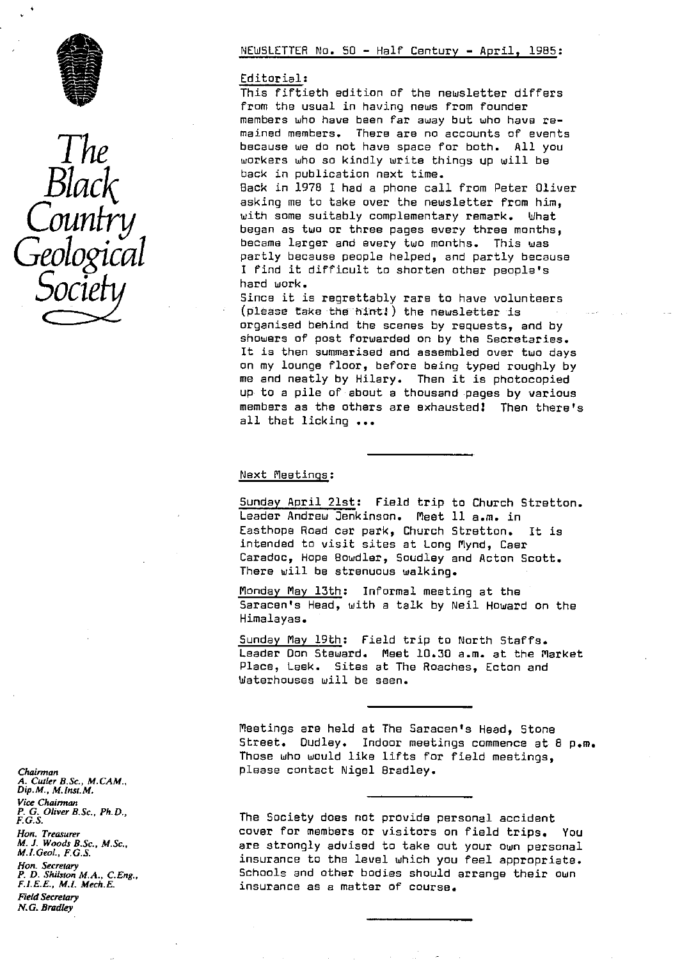



#### Editorial :

This fiftieth edition of the newsletter differs from the usual in having news from founder members who have been far away but who have remained members. There are no accounts of events<br> **The**<br> **The**<br> **There**<br> **There**<br> **There**<br> **There**<br> **There**<br> **There**<br> **There**<br> **There**<br> **There**<br> **There**<br> **There**<br> **There**<br> **There**<br> **There**<br> **There**<br> **There**<br> **There**<br> **There** because we do not have space for both. All you<br>workers who so kindly write things up will be<br>back in publication next time.

 $Black$  back in publication next time.<br>Black in 1978 I had a phone call<br>asking me to take over the new Back in 1978 1 had a phone call from Peter Oliver asking me to take over the newsletter from him, with some suitably complementary remark. What<br>**began as two or three pages every three months,**<br>became larger and every two months. This was partly because people helped, and partly because I find it difficult to shorten other people's<br>hard work.

**SOCIETY Example 1998**<br>Since it is regrettably rare to have volunteers  $(\text{phase take the birth})$  the newsletter is organised behind the scenes by requests, and by showers of post forwarded on by the Secretaries. It is then summarised and assembled over two days on my lounge floor, before being typed roughly by me and neatly by Hilary. Then it is photocopied up to a pile of about a thousand pages by various members as the others are exhausted! Then there's all that licking ...

### Next Meetings :

Sunday April 21st: Field trip to Church Stratton. Leader Andrew Jenkinson. Meet 11 a.m. in Easthope Road car park, Church Stratton. It is intended to visit sites at Long Mynd, Caer Caradoc, Hope Bawdier, Saudley and Acton Scott. There will be strenuous walking.

Monday May 13th: Informal meeting at the Saracen's Head, with a talk by Neil Howard on the Himalayas.

Sunday May 19th: Field trip to North Staffs. Leader Don Steward. Meet 10.30 a.m. at the Market Place, Leek. Sites at The Roaches, Ecton and Waterhouses will be seen.

Meetings are held at The Saracen's Head, Stone Street. Dudley. Indoor meetings commence at 8 p.m. Those who would like lifts for field meetings, *Chairman* please contact Nigel Bradley.

The Society does not provide personal accident *Hon. Treasurer* cover for members or visitors on field trips. You M. J. *Woods B.Sc., M.Sc.,* are strongly advised to take out your own personal *M.I.Geo1., F.G.S.* insurance to the level which you feel appropriate. *Hon. Secretary P. D. Shilston M.A., C.Eng.,* Schools and other bodies should arrange their own<br>*F.I.E.E., M.I. Mech.E.* insurance as a matter of course. F.I.E.E., *M.L Mech.E.* insurance as a matter of course.

*A. Cutler B. Sc., M. CAM. , Dip. M., M.lnst.M. Vice Chairman P. G. Oliver B.Sc., Ph.D.,*<br>*F.G.S. Field Secretary N. G. Bradley*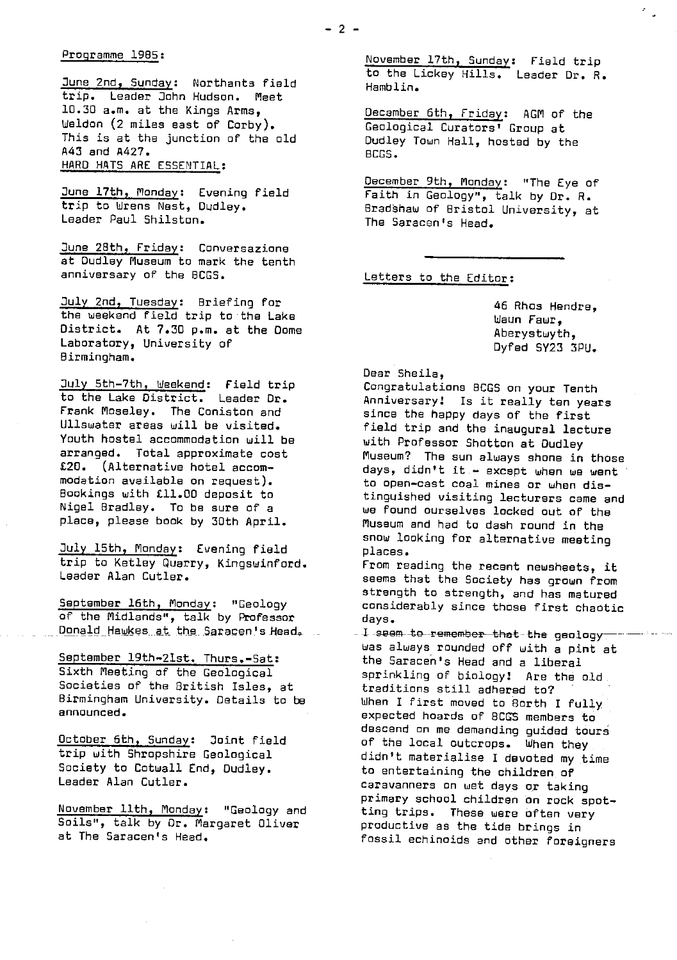#### Programme 1985 :

June 2nd,, Sunda<sup>y</sup> : Northants field trip. Leader John Hudson. Meet 10.30 a.m. at the Kings Arms, Weldon (2 miles east of Corby). This is at the junction of the old A43 and A427. HARD HATS ARE ESSENTIAL :

<mark>June 17th, Monday</mark>: Evening field trip to Wrens Nest, Dudley. Leader Paul Shilston.

June 28th, Friday: Conversazione at Dudley Museum to mark the tenth anniversary of the BCGS.

July 2nd, Tuesday: Briefing for the weekend field trip to the Lake District. At 7.30 p.m. at the Dome Laboratory, University of Birmingham.

July 5th-7th, Weekend: Field trip to the Lake District. Leader Dr. Frank Moseley. The Coniston and Ullswater areas will be visited. Youth hostel accommodation will be arranged. Total approximate cost £20. (Alternative hotel accommodation available on request). Bookings with £11.00 deposit to Nigel Bradley. To be sure of a place, please book by 30th April.

July 15th, Monday: Evening field trip to Ketley Quarry, Kingswinford. Leader Alan Cutler.

September 16th, Monday : "Geology of the Midlands", talk by Professor Donald Hawkes at the Saracen's Head.

September 19th-21st. Thurs.-Sat: Sixth Meeting of the Geological Societies of the British Isles, at Birmingham University. Details to be announced.

October 6th, Sunday: Joint field trip with Shropshire Geological Society to Cotwall End, Dudley. Leader Alan Cutler.

November 11th, Monday: "Geology and Soils", talk by Jr. Margaret Oliver at The Saracen's Head.

November 17th, Sunday: Field trip to the Lickey Hills. Leader Dr. R. Hamblin.

December 6th, Friday: AGM of the Geological Curators' Group at Dudley Town Hall, hosted by the BOGS.

December 9th, Monday: "The Eye of Faith in Geology", talk by Dr. R. Bradshaw of Bristol University, at The Saracen's Head.

Letters to the Editor:

46 Rhos Hendre, Waun Fawr, Aberystwyth, Dyfed SY23 3PU.

#### Dear Sheila,

Congratulations BCGS on your Tenth Anniversary! Is it really ten years since the happy days of the first field trip and the inaugural lecture with Professor Shotton at Dudley Museum? The sun always shone in those days, didn't it - except when we went to open-cast coal **mines** or when distinguished visiting lecturers came and we found ourselves locked out of the Museum and had to dash round in the snow looking for alternative meeting places.

From reading the recent newsheets, it seems that the Society has grown from strength to strength, and has matured considerably since those first chaotic days.

oays.<br>I seem to remember that the geology<br>Wes al wys ma was always rounded off with a pint at the Saracen's Head and a liberal sprinkling of biology! Are the old. traditions still adhered to? When I first moved to Borth I fully expected hoards of BCGS members to descend on me demanding guided tours of the local outcrops. When they didn't materialise I devoted my time to entertaining the children of caravanners on wet days or taking primary school children an rock spotting trips. These were often very productive as the tide brings in fossil echinoids and other foreigners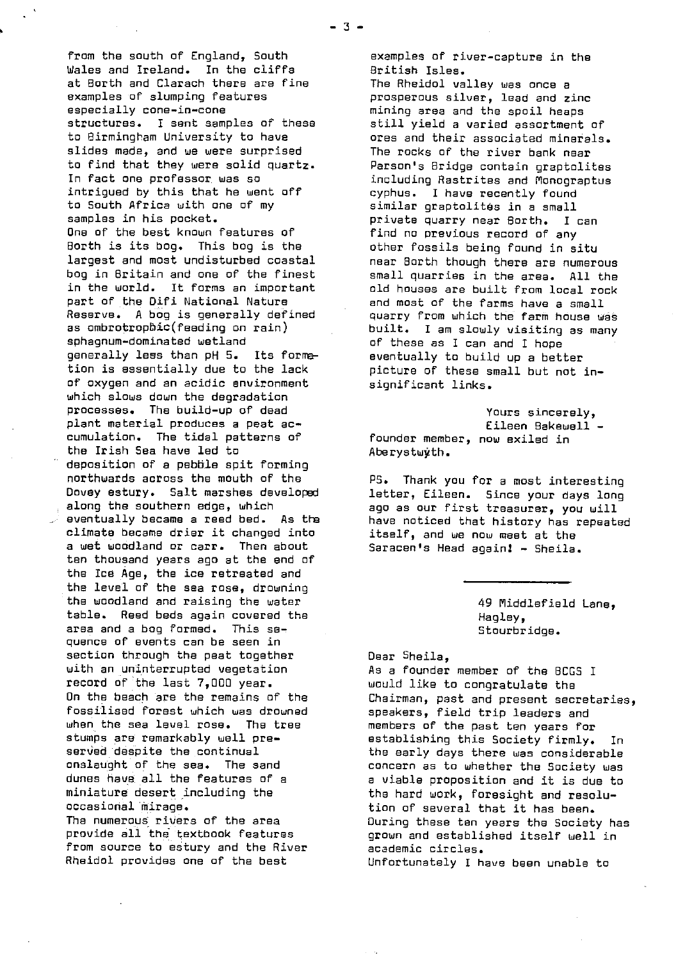from the south of England, South Wales and Ireland. In the cliffs at Borth and Clarach there are fine examples of slumping features especially cone-in-cone structures. I sent samples of these to Birmingham University to have slides made, and we were surprised to find that they were solid quartz. In fact one professor was so intrigued by this that he went off to South Africa with one of my samples in his packet. One of the best known features of Borth is its bog. This bog is the largest and most undisturbed coastal bog in Britain and one of the finest in the world. It forms an important part of the Difi National Nature Reserve. A bog is generally defined as ombrotrophic(feeding on rain) sphagnum-dominated wetland generally **less** than pH 5. Its formation is essentially due to the lack of oxygen and an acidic environment which slows down the degradation processes. The build-up of dead plant material produces a peat accumulation. The tidal patterns of the Irish Sea have led to deposition of a pebble spit forming northwards across the mouth of the Dovey estury. Salt marshes developed along the southern edge, which eventually became a reed bed. As the climate became drier it changed into a wet woodland or carr. Then about ten thousand years ago at the and of the Ice Age, the ice retreated and the level of the sea rose, drowning the woodland and raising the water table. Reed beds again covered the area and a bog formed. This sequence of events can be seen in section through the peat together with an uninterrupted vegetation record of the last 7,000 year. On the beach are the remains of the fossilised forest which was drowned when the sea level rose. The tree stumps are remarkably well preserved despite the continual onslaught of the **sea.** The sand dunes have. all the features of a miniature desert including the occasional mirage. The numerous rivers of the area

provide all the textbook features from source to estury and the River Rheidol provides one of the best

*examples of* river-capture in the British Isles.

The Rheidol valley was once a prosperous silver, lead and zinc mining area and the spoil heaps still yield a varied assortment of ores and their associated minerals. The rocks of the river bank near Parson's Bridge contain graptolites including Rastrites and Monograptus cyphus. I have recently found similar graptolitos in a small private quarry near Borth. I can find no previous record of any other fossils being found in situ near Borth though there are numerous small quarries in *the* area. All the old houses are built from local rock and most of the farms have a small quarry from which the farm house was built. I am slowly visiting as many of these as I can and I hope eventually to build up a better picture of these small but not insignificant links.

Yours sincerely, Eileen Bakawell founder member, now exiled in Aberystwyth.

PS. Thank you for a most interesting letter, Eileen. Since your days long ago as our first treasurer, you will have noticed that history has repeated itself, and we now meet at the Saracen's Head again! - Sheila.

> 49 Middlefield Lane, Hagley, Stourbridge.

Dear Sheila,

As a founder member of the BCGS I would like to congratulate the Chairman, past and present secretaries, speakers, field trip leaders and members of the past ten years for establishing this Society firmly. In the early days there was considerable concern as to whether the Society was a viable proposition and it is due to the hard work, foresight and resolution of several that it has been. During these ten years the Society has grown and established itself well in academic circles. Unfortunately I have been unable to

-3-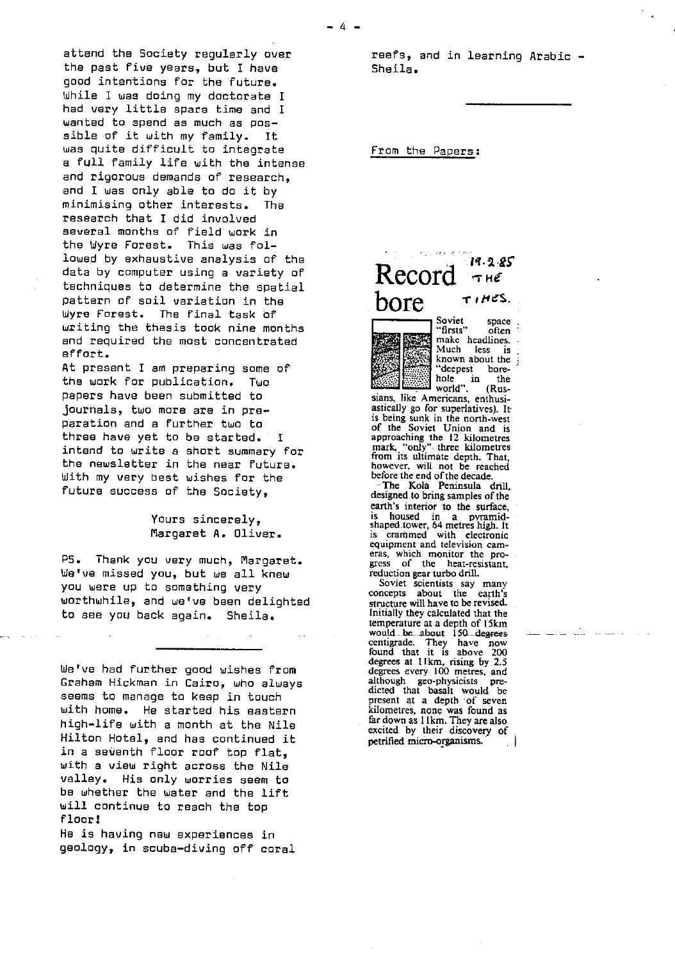attend the Society regularly over the past five years, but I have good intentions for the future. While I was doing my doctorate I had very little spare time and I wanted to spend as much as possible of it with my family. It was quite difficult to integrate a full family life with the intense and rigorous demands of research, and I was only able to do it by minimising other interests. The research that I did involved several months of field work in<br>the Wyre Forest. This was folthe Wyre Forest. lowed by exhaustive analysis of the data by computer using a variety of techniques to determine the spatial pattern of soil variation in the Wyre Forest. The final task of writing the thesis took nine months and required the most concentrated effort.

At present I am preparing some of the work for publication. Two papers have been submitted to journals, two more are in preparation and a further two to three have yet to be started. I intend to write a short summary for the newsletter in the near future. With my very best wishes for the future success of the Society,

### Yours sincerely, Margaret A. Oliver.

PS. Thank you very much, Margaret. We've missed you, but we all knew you were up to something very worthwhile, and we've been delighted to see you back again. Sheila.

We've had further good wishes from Graham Hickman in Cairo, who always seems to manage to keep in touch with home. He started his eastern high-life with a month at the Nile Hilton Hotel, and has continued it in a seventh floor roof top flat, with a view right across the Nile valley. His only worries seem to be whether the water and the lift will continue to reach the top floor!

He is having new experiences in geology, in scuba-diving off coral reefs, and in learning Arabic - Sheila.

#### From the Papers:

 $4-$ 

# $\text{Record}$   $\frac{19.2.85}{7.16}$  $\frac{1}{\sqrt{1+\frac{1}{c}}}\frac{\log \frac{1}{c}}{\log \frac{1}{c}}$



Soviet space<br>"firsts" often "firsts" make headlines.<br>Much less is Much less is known about the deepest bore-<br>hole in the

hole in the world". (Russians, like Americans, enthusiastically go for superlatives). It is being sunk in the north-west of the Soviet Union and is approaching the 12 kilometres mark, `only"- three kilometres from its ultimate depth. That, however, will not be reached

before the end of the decade.<br>The Kola Peninsula drill designed to bring samples of the earth's interior to the surface, is housed in a pvramid-shaped.tower, 64 metres high. It is crammed with electronic equipment and television cam*eras,* which monitor the progress of the heat-resistant, reduction gear turbo drill.

Soviet scientists say many concepts about the earth's structure will have to be *revised.* Initially they calculated that the temperature at a depth of l5km would be about 150 degrees centigrade. They have now found that it is above 200 degrees at 1 km, rising by 2.5<br>degrees every 100 metres, and although geo-physicists pre-dicted that basalt would be present at a depth of seven kilometres, none was found as far down as 11 km. They are also excited by their discovery of petrified micro-organisms.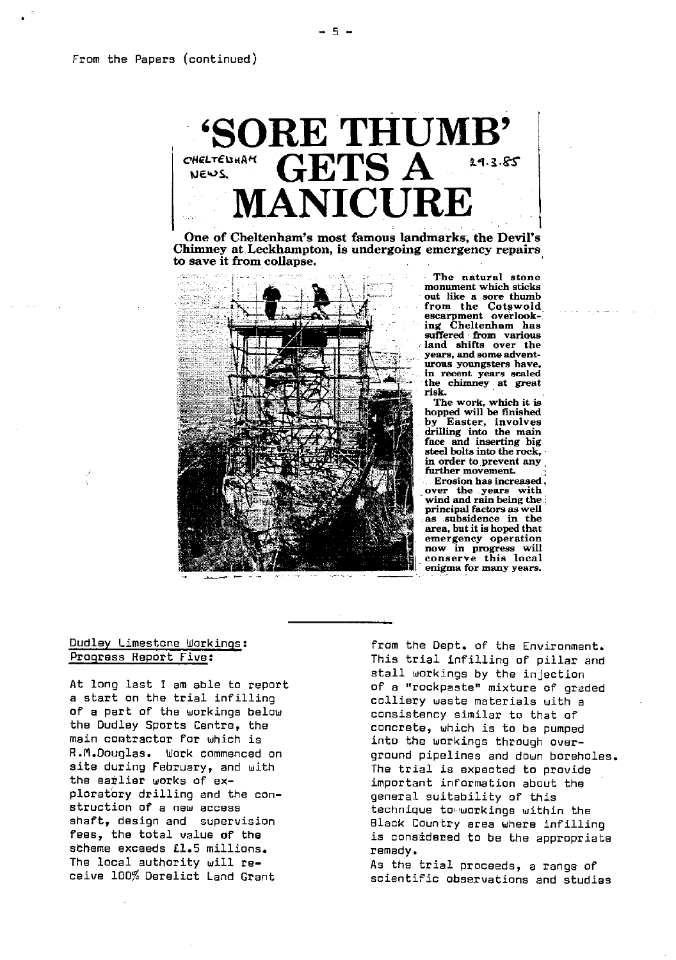$\ddot{\phantom{0}}$ 

# ^ SORE THUMB' CHELTEWAHH **GETS** A NICII

One of Cheltenham's most famous landmarks, the Devil's Chimney at. Leckhampton, is undergoing emergency repairs to save it from collapse.



The natural stone monument which sticks out like a sore thumb from the Cotswold suffered - from various **land** shifts over the years, and some adventurous youngsters have, in recent years scaled the chimney at great risk.

The work, which it is hopped will be finished<br>by Easter, involves Easter, involves drilling into the main face and inserting big steel bolts into the rock, in order to prevent any further movement.

Erosion has increased, over the years with wind and rain being the **•** principal factors as well as **subsidence** in the a**re**a, but it is hoped that emergency operation now in progress wi**ll** conserve this local enigma for many years.

# Dudley Limestone Workings : Progress Report Five:

At long last I am able to report a start on the trial infilling of a part of the workings below the Dudley Sports Centre, the main contractor for which is R.Il.Oouglas. Work commenced on site during February, and with the earlier works of exploratory drilling and the construction of a new access shaft, design and supervision fees, the total value of the scheme exceeds £1.5 millions. The local authority will receive 100% Derelict Land Grant

from the Dept. of the Environment. This trial infilling of pillar and stall workings by the injection of a "rockpaste" mixture of graded colliery waste materials with a consistency similar to that of concrete, which is to be pumped into the workings through everground pipelines and down boreholes. The trial is expected to provide important information about the general suitability of this technique to'workings within the Black Country area where infilling is considered to be the appropriate remedy.

As the trial proceeds, a range of scientific observations and studies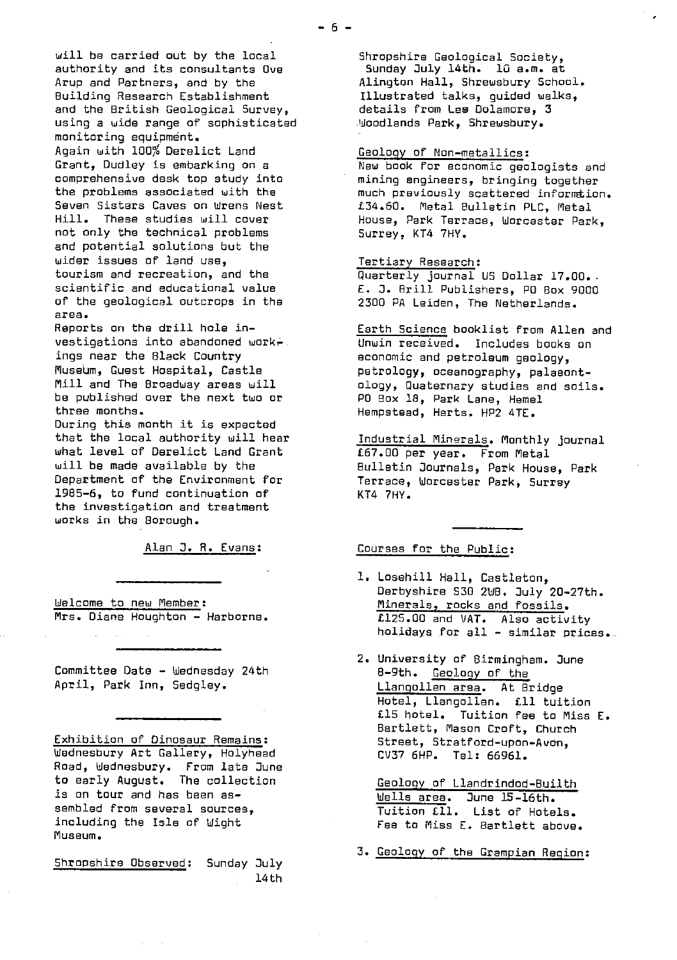will be carried out by the local authority and its consultants Owe Arup and Partners, and by the Building Research Establishment and the British Geological Survey, using a wide range of sophisticated monitoring equipment. Again with 100% Derelict Land Grant, Dudley is embarking on a comprehensive desk top study into the problems associated with the Seven Sisters Caves on Wrens Nest Hill. These studies will cover not only the technical problems and potential solutions but the wider issues of land use, tourism and recreation, and the scientific and educational value of the geological outcrops in the area.

Reports an the drill hole investigations into abandoned workings near the Black Country Museum, Guest Hospital, Castle Mill and The Broadway areas will be published over the next two or three months.

During this month it is expected that the local authority will hear what level of Derelict Land Grant will be made available by the Department of the Environment for 1985-6, to fund continuation of the investigation and treatment works in the Borough.

Alan J. R. Evans :

Welcome to new Member : Mrs. Diane Houghton - Harborne.

Committee Date - Wednesday 24th April, Park Inn, Sedgley.

Exhibition of Dinosaur Remains : Wednesbury Art Gallery, Holyhead Road, Wednesbury. From late June to early August. The collection is on tour and has been assembled from several sources, including the Isle of Wight Museum.

Shropshire Observed: Sunday July 14th

Shropshire Geological Society, Sunday July 14th. 10 a.m. at Alington Hall, Shrewsbury School. Illustrated talks, guided walks, details from Lee Dolamore, 3 Woodlands Park, Shrewsbury.

# Geology of Non-metallics :

New book for economic geologists and mining engineers, bringing together much previously scattered informtion. £34.50. Metal Bulletin PLC, Metal House, Park Terrace, Worcester Park, Surrey, KT4 7HY.

#### Tertiary Research:

Quarterly journal US Dollar 17.00.. E. J. Brill Publishers, PO Box 9000 2300 PA Leiden, The Netherlands.

Earth Science booklist from Allen and Unwin received. Includes books on economic and petroleum geology, petrology, oceanography, palaeontology, Quaternary studies and soils. PO Box 18, Park Lane, Hemel Hempstead, Herts. HP2 4TE.

Industrial Minerals. Monthly journal €67.00 per year. From Metal Bulletin Journals, Park House, Park Terrace, Worcester Park, Surrey KT4 7HY.

# Courses for the Public:

- 1. Losehill Hall, Castleton, Derbyshire S30 2WB. July 20-27th. Minerals, rocks and fossils. €125.00 and VAT. Also activity holidays for all - similar prices..\_\_
- 2. University of Birmingham. June 8-9th. Geology of the Llangollen area. At Bridge Hotel, Llangollen. €11 tuition £15 hotel. Tuition fee to **Miss** E. Bartlett, Mason Croft, Church Street, Stratford-upon-Avon, CV37 6HP. Tel: 66961.

Geology of Llandrindod-Builth Wells area. June 15-16th. Tuition €I1. List of Hotels. Fee to Miss E. Bartlett above.

3. Geology of the Grampian Region: